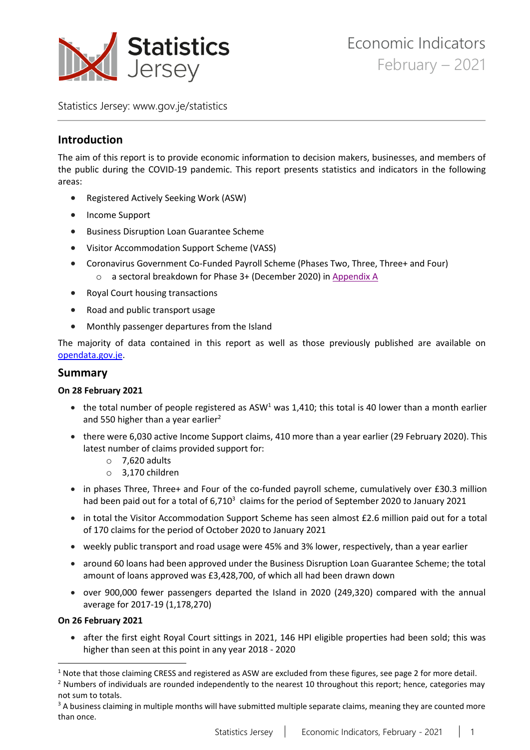

Statistics Jersey: [www.gov.je/statistics](https://www.gov.je/statistics)

# **Introduction**

The aim of this report is to provide economic information to decision makers, businesses, and members of the public during the COVID-19 pandemic. This report presents statistics and indicators in the following areas:

- Registered Actively Seeking Work (ASW)
- Income Support
- Business Disruption Loan Guarantee Scheme
- Visitor Accommodation Support Scheme (VASS)
- Coronavirus Government Co-Funded Payroll Scheme (Phases Two, Three, Three+ and Four) o a sectoral breakdown for Phase 3+ (December 2020) i[n Appendix A](#page-11-0)
- Royal Court housing transactions
- Road and public transport usage
- Monthly passenger departures from the Island

The majority of data contained in this report as well as those previously published are available on [opendata.gov.je.](https://opendata.gov.je/)

### **Summary**

#### **On 28 February 2021**

- the total number of people registered as ASW<sup>1</sup> was 1,410; this total is 40 lower than a month earlier and 550 higher than a year earlier<sup>2</sup>
- there were 6,030 active Income Support claims, 410 more than a year earlier (29 February 2020). This latest number of claims provided support for:
	- $\circ$  7,620 adults
	- o 3,170 children
- in phases Three, Three+ and Four of the co-funded payroll scheme, cumulatively over £30.3 million had been paid out for a total of 6,710<sup>3</sup> claims for the period of September 2020 to January 2021
- in total the Visitor Accommodation Support Scheme has seen almost £2.6 million paid out for a total of 170 claims for the period of October 2020 to January 2021
- weekly public transport and road usage were 45% and 3% lower, respectively, than a year earlier
- around 60 loans had been approved under the Business Disruption Loan Guarantee Scheme; the total amount of loans approved was £3,428,700, of which all had been drawn down
- over 900,000 fewer passengers departed the Island in 2020 (249,320) compared with the annual average for 2017-19 (1,178,270)

### **On 26 February 2021**

• after the first eight Royal Court sittings in 2021, 146 HPI eligible properties had been sold; this was higher than seen at this point in any year 2018 - 2020

 $1$  Note that those claiming CRESS and registered as ASW are excluded from these figures, see page 2 for more detail.

<sup>&</sup>lt;sup>2</sup> Numbers of individuals are rounded independently to the nearest 10 throughout this report; hence, categories may not sum to totals.

<sup>&</sup>lt;sup>3</sup> A business claiming in multiple months will have submitted multiple separate claims, meaning they are counted more than once.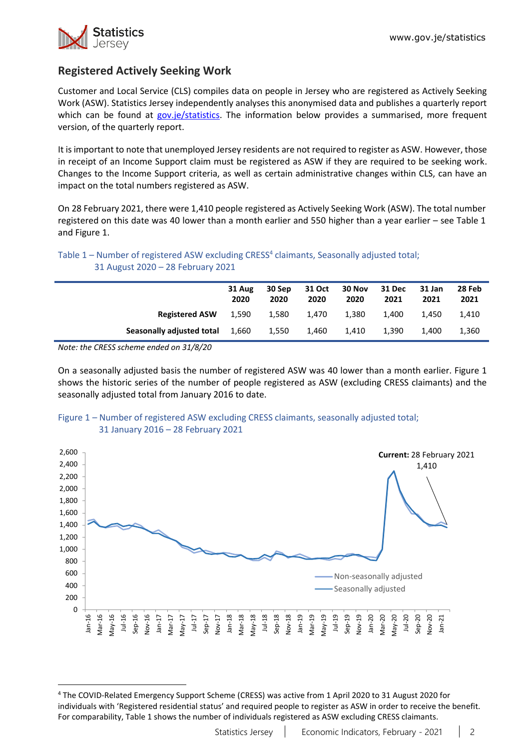

# **Registered Actively Seeking Work**

Customer and Local Service (CLS) compiles data on people in Jersey who are registered as Actively Seeking Work (ASW). Statistics Jersey independently analyses this anonymised data and publishes a quarterly report which can be found at [gov.je/statistics.](https://www.gov.je/Government/JerseyInFigures/EmploymentEarnings/Pages/RegisteredUnemployment.aspx) The information below provides a summarised, more frequent version, of the quarterly report.

It is important to note that unemployed Jersey residents are not required to register as ASW. However, those in receipt of an Income Support claim must be registered as ASW if they are required to be seeking work. Changes to the Income Support criteria, as well as certain administrative changes within CLS, can have an impact on the total numbers registered as ASW.

On 28 February 2021, there were 1,410 people registered as Actively Seeking Work (ASW). The total number registered on this date was 40 lower than a month earlier and 550 higher than a year earlier – see Table 1 and Figure 1.

### Table 1 – Number of registered ASW excluding CRESS<sup>4</sup> claimants, Seasonally adjusted total; 31 August 2020 – 28 February 2021

|                                        | 31 Aug<br>2020 | 30 Sep<br>2020 | 31 Oct<br>2020 | 30 Nov<br>2020 | 31 Dec<br>2021 | 31 Jan<br>2021 | 28 Feb<br>2021 |
|----------------------------------------|----------------|----------------|----------------|----------------|----------------|----------------|----------------|
| <b>Registered ASW</b> 1,590            |                | 1,580          | 1.470          | 1,380          | 1.400          | 1.450          | 1.410          |
| <b>Seasonally adjusted total 1,660</b> |                | 1.550          | 1.460          | 1,410          | 1.390          | 1.400          | 1,360          |

*Note: the CRESS scheme ended on 31/8/20*

On a seasonally adjusted basis the number of registered ASW was 40 lower than a month earlier. Figure 1 shows the historic series of the number of people registered as ASW (excluding CRESS claimants) and the seasonally adjusted total from January 2016 to date.



### Figure 1 – Number of registered ASW excluding CRESS claimants, seasonally adjusted total; 31 January 2016 – 28 February 2021

<sup>4</sup> The COVID-Related Emergency Support Scheme (CRESS) was active from 1 April 2020 to 31 August 2020 for individuals with 'Registered residential status' and required people to register as ASW in order to receive the benefit. For comparability, Table 1 shows the number of individuals registered as ASW excluding CRESS claimants.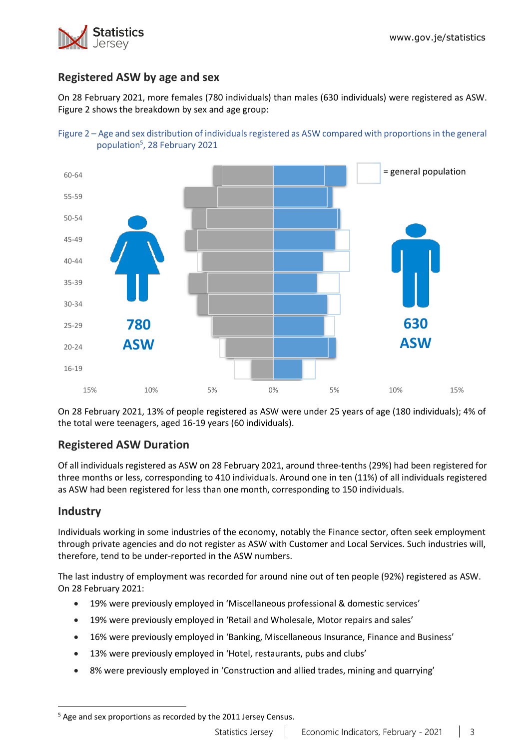

# **Registered ASW by age and sex**

On 28 February 2021, more females (780 individuals) than males (630 individuals) were registered as ASW. Figure 2 shows the breakdown by sex and age group:





On 28 February 2021, 13% of people registered as ASW were under 25 years of age (180 individuals); 4% of the total were teenagers, aged 16-19 years (60 individuals).

# **Registered ASW Duration**

Of all individuals registered as ASW on 28 February 2021, around three-tenths (29%) had been registered for three months or less, corresponding to 410 individuals. Around one in ten (11%) of all individuals registered as ASW had been registered for less than one month, corresponding to 150 individuals.

# **Industry**

Individuals working in some industries of the economy, notably the Finance sector, often seek employment through private agencies and do not register as ASW with Customer and Local Services. Such industries will, therefore, tend to be under-reported in the ASW numbers.

The last industry of employment was recorded for around nine out of ten people (92%) registered as ASW. On 28 February 2021:

- 19% were previously employed in 'Miscellaneous professional & domestic services'
- 19% were previously employed in 'Retail and Wholesale, Motor repairs and sales'
- 16% were previously employed in 'Banking, Miscellaneous Insurance, Finance and Business'
- 13% were previously employed in 'Hotel, restaurants, pubs and clubs'
- 8% were previously employed in 'Construction and allied trades, mining and quarrying'

 $5$  Age and sex proportions as recorded by the 2011 Jersey Census.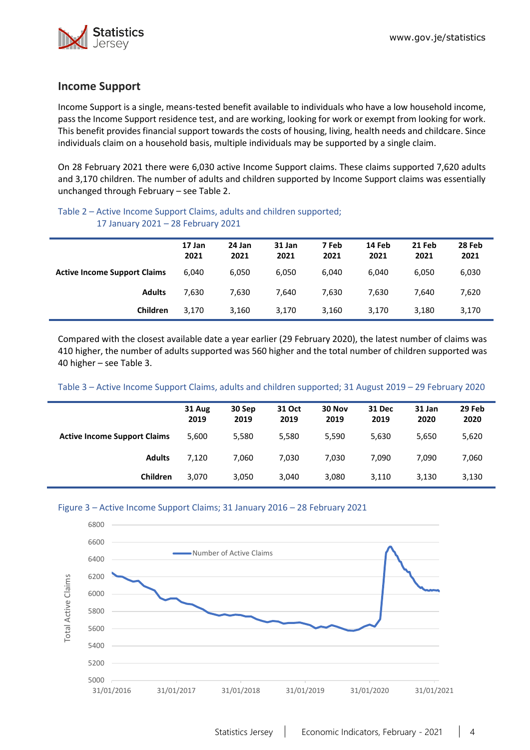

## **Income Support**

Income Support is a single, means-tested benefit available to individuals who have a low household income, pass the Income Support residence test, and are working, looking for work or exempt from looking for work. This benefit provides financial support towards the costs of housing, living, health needs and childcare. Since individuals claim on a household basis, multiple individuals may be supported by a single claim.

On 28 February 2021 there were 6,030 active Income Support claims. These claims supported 7,620 adults and 3,170 children. The number of adults and children supported by Income Support claims was essentially unchanged through February – see Table 2.

#### Table 2 – Active Income Support Claims, adults and children supported; 17 January 2021 – 28 February 2021

|                                     | 17 Jan<br>2021 | 24 Jan<br>2021 | 31 Jan<br>2021 | 7 Feb<br>2021 | 14 Feb<br>2021 | 21 Feb<br>2021 | 28 Feb<br>2021 |
|-------------------------------------|----------------|----------------|----------------|---------------|----------------|----------------|----------------|
| <b>Active Income Support Claims</b> | 6.040          | 6,050          | 6.050          | 6,040         | 6,040          | 6,050          | 6,030          |
| <b>Adults</b>                       | 7.630          | 7.630          | 7.640          | 7.630         | 7.630          | 7.640          | 7,620          |
| Children                            | 3.170          | 3,160          | 3,170          | 3,160         | 3,170          | 3,180          | 3,170          |

Compared with the closest available date a year earlier (29 February 2020), the latest number of claims was 410 higher, the number of adults supported was 560 higher and the total number of children supported was 40 higher – see Table 3.

#### Table 3 – Active Income Support Claims, adults and children supported; 31 August 2019 – 29 February 2020

|                                     | 31 Aug<br>2019 | 30 Sep<br>2019 | 31 Oct<br>2019 | 30 Nov<br>2019 | 31 Dec<br>2019 | 31 Jan<br>2020 | 29 Feb<br>2020 |
|-------------------------------------|----------------|----------------|----------------|----------------|----------------|----------------|----------------|
| <b>Active Income Support Claims</b> | 5.600          | 5,580          | 5,580          | 5,590          | 5,630          | 5,650          | 5,620          |
| <b>Adults</b>                       | 7,120          | 7.060          | 7.030          | 7,030          | 7,090          | 7.090          | 7,060          |
| Children                            | 3.070          | 3,050          | 3.040          | 3,080          | 3,110          | 3,130          | 3,130          |

#### Figure 3 – Active Income Support Claims; 31 January 2016 – 28 February 2021

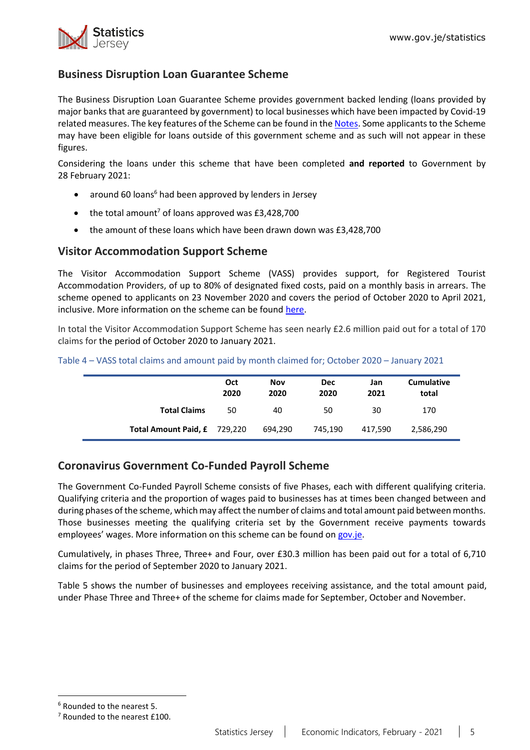

# **Business Disruption Loan Guarantee Scheme**

The Business Disruption Loan Guarantee Scheme provides government backed lending (loans provided by major banks that are guaranteed by government) to local businesses which have been impacted by Covid-19 related measures. The key features of the Scheme can be found in the [Notes.](#page-10-0) Some applicants to the Scheme may have been eligible for loans outside of this government scheme and as such will not appear in these figures.

Considering the loans under this scheme that have been completed **and reported** to Government by 28 February 2021:

- around 60 loans<sup>6</sup> had been approved by lenders in Jersey
- the total amount<sup>7</sup> of loans approved was  $£3,428,700$
- the amount of these loans which have been drawn down was £3,428,700

## **Visitor Accommodation Support Scheme**

The Visitor Accommodation Support Scheme (VASS) provides support, for Registered Tourist Accommodation Providers, of up to 80% of designated fixed costs, paid on a monthly basis in arrears. The scheme opened to applicants on 23 November 2020 and covers the period of October 2020 to April 2021, inclusive. More information on the scheme can be found [here.](https://www.gov.je/health/coronavirus/businessandemployment/pages/governmentsupportforbusinesses.aspx)

In total the Visitor Accommodation Support Scheme has seen nearly £2.6 million paid out for a total of 170 claims for the period of October 2020 to January 2021.

|                              | Oct<br>2020 | Nov<br>2020 | <b>Dec</b><br>2020 | Jan<br>2021 | <b>Cumulative</b><br>total |
|------------------------------|-------------|-------------|--------------------|-------------|----------------------------|
| <b>Total Claims</b>          | 50          | 40          | 50                 | 30          | 170                        |
| Total Amount Paid, £ 729,220 |             | 694.290     | 745.190            | 417.590     | 2,586,290                  |

#### Table 4 – VASS total claims and amount paid by month claimed for; October 2020 – January 2021

# **Coronavirus Government Co-Funded Payroll Scheme**

The Government Co-Funded Payroll Scheme consists of five Phases, each with different qualifying criteria. Qualifying criteria and the proportion of wages paid to businesses has at times been changed between and during phases of the scheme, which may affect the number of claims and total amount paid between months. Those businesses meeting the qualifying criteria set by the Government receive payments towards employees' wages. More information on this scheme can be found on [gov.je.](https://www.gov.je/health/coronavirus/businessandemployment/pages/governmentsupportforbusinesses.aspx)

Cumulatively, in phases Three, Three+ and Four, over £30.3 million has been paid out for a total of 6,710 claims for the period of September 2020 to January 2021.

Table 5 shows the number of businesses and employees receiving assistance, and the total amount paid, under Phase Three and Three+ of the scheme for claims made for September, October and November.

<sup>6</sup> Rounded to the nearest 5.

<sup>&</sup>lt;sup>7</sup> Rounded to the nearest £100.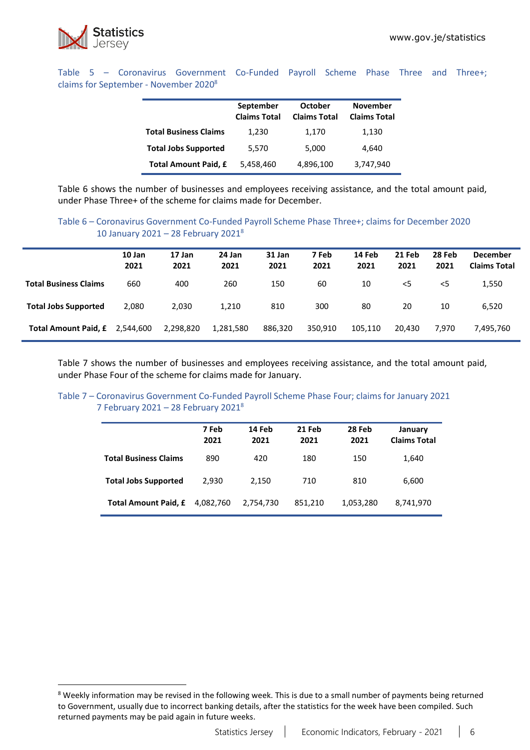

Table 5 – Coronavirus Government Co-Funded Payroll Scheme Phase Three and Three+; claims for September - November 2020<sup>8</sup>

|                              | September<br><b>Claims Total</b> | <b>October</b><br><b>Claims Total</b> | <b>November</b><br><b>Claims Total</b> |
|------------------------------|----------------------------------|---------------------------------------|----------------------------------------|
| <b>Total Business Claims</b> | 1,230                            | 1,170                                 | 1,130                                  |
| <b>Total Jobs Supported</b>  | 5,570                            | 5,000                                 | 4.640                                  |
| <b>Total Amount Paid, £</b>  | 5,458,460                        | 4,896,100                             | 3,747,940                              |

Table 6 shows the number of businesses and employees receiving assistance, and the total amount paid, under Phase Three+ of the scheme for claims made for December.

#### Table 6 – Coronavirus Government Co-Funded Payroll Scheme Phase Three+; claims for December 2020 10 January 2021 – 28 February 2021<sup>8</sup>

|                              | 10 Jan<br>2021 | 17 Jan<br>2021 | 24 Jan<br>2021 | 31 Jan<br>2021 | 7 Feb<br>2021 | 14 Feb<br>2021 | 21 Feb<br>2021 | 28 Feb<br>2021 | <b>December</b><br><b>Claims Total</b> |
|------------------------------|----------------|----------------|----------------|----------------|---------------|----------------|----------------|----------------|----------------------------------------|
| <b>Total Business Claims</b> | 660            | 400            | 260            | 150            | 60            | 10             | $<$ 5          | <5             | 1,550                                  |
| <b>Total Jobs Supported</b>  | 2,080          | 2.030          | 1,210          | 810            | 300           | 80             | 20             | 10             | 6.520                                  |
| <b>Total Amount Paid, £</b>  | 2,544,600      | 2,298,820      | 1,281,580      | 886,320        | 350,910       | 105,110        | 20.430         | 7.970          | 7,495,760                              |

Table 7 shows the number of businesses and employees receiving assistance, and the total amount paid, under Phase Four of the scheme for claims made for January.

#### Table 7 – Coronavirus Government Co-Funded Payroll Scheme Phase Four; claims for January 2021 7 February 2021 – 28 February 2021 $8$

|                              | 7 Feb<br>2021 | 14 Feb<br>2021 | 21 Feb<br>2021 | 28 Feb<br>2021 | January<br><b>Claims Total</b> |
|------------------------------|---------------|----------------|----------------|----------------|--------------------------------|
| <b>Total Business Claims</b> | 890           | 420            | 180            | 150            | 1,640                          |
| <b>Total Jobs Supported</b>  | 2.930         | 2.150          | 710            | 810            | 6,600                          |
| <b>Total Amount Paid, £</b>  | 4.082.760     | 2,754,730      | 851,210        | 1,053,280      | 8,741,970                      |

<sup>&</sup>lt;sup>8</sup> Weekly information may be revised in the following week. This is due to a small number of payments being returned to Government, usually due to incorrect banking details, after the statistics for the week have been compiled. Such returned payments may be paid again in future weeks.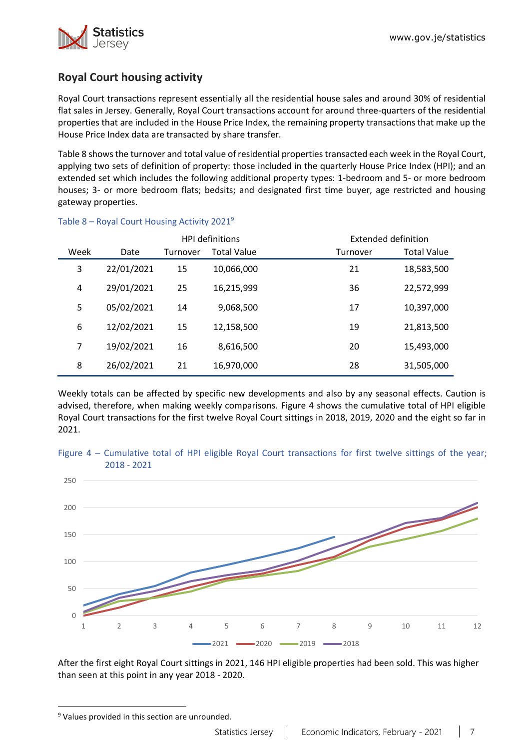

# **Royal Court housing activity**

Royal Court transactions represent essentially all the residential house sales and around 30% of residential flat sales in Jersey. Generally, Royal Court transactions account for around three-quarters of the residential properties that are included in the House Price Index, the remaining property transactions that make up the House Price Index data are transacted by share transfer.

Table 8 shows the turnover and total value of residential properties transacted each week in the Royal Court, applying two sets of definition of property: those included in the quarterly House Price Index (HPI); and an extended set which includes the following additional property types: 1-bedroom and 5- or more bedroom houses; 3- or more bedroom flats; bedsits; and designated first time buyer, age restricted and housing gateway properties.

|                |            |          | <b>HPI</b> definitions | Extended definition |                    |
|----------------|------------|----------|------------------------|---------------------|--------------------|
| Week           | Date       | Turnover | <b>Total Value</b>     | Turnover            | <b>Total Value</b> |
| 3              | 22/01/2021 | 15       | 10,066,000             | 21                  | 18,583,500         |
| 4              | 29/01/2021 | 25       | 16,215,999             | 36                  | 22,572,999         |
| 5              | 05/02/2021 | 14       | 9,068,500              | 17                  | 10,397,000         |
| 6              | 12/02/2021 | 15       | 12,158,500             | 19                  | 21,813,500         |
| $\overline{7}$ | 19/02/2021 | 16       | 8,616,500              | 20                  | 15,493,000         |
| 8              | 26/02/2021 | 21       | 16,970,000             | 28                  | 31,505,000         |

### Table 8 – Royal Court Housing Activity 2021<sup>9</sup>

Weekly totals can be affected by specific new developments and also by any seasonal effects. Caution is advised, therefore, when making weekly comparisons. Figure 4 shows the cumulative total of HPI eligible Royal Court transactions for the first twelve Royal Court sittings in 2018, 2019, 2020 and the eight so far in 2021.





After the first eight Royal Court sittings in 2021, 146 HPI eligible properties had been sold. This was higher than seen at this point in any year 2018 - 2020.

<sup>&</sup>lt;sup>9</sup> Values provided in this section are unrounded.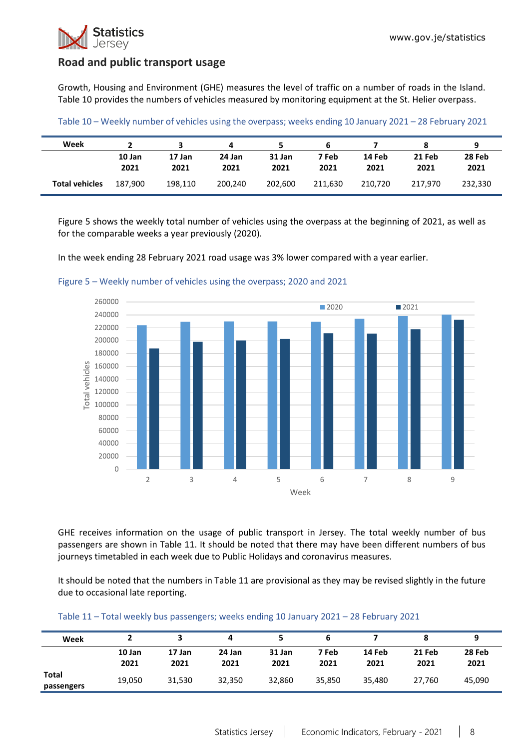

## **Road and public transport usage**

Growth, Housing and Environment (GHE) measures the level of traffic on a number of roads in the Island. Table 10 provides the numbers of vehicles measured by monitoring equipment at the St. Helier overpass.

| Table 10 - Weekly number of vehicles using the overpass; weeks ending 10 January 2021 - 28 February 2021 |  |
|----------------------------------------------------------------------------------------------------------|--|
|----------------------------------------------------------------------------------------------------------|--|

| Week                  |                |                |                |                |               |                |                | 9              |
|-----------------------|----------------|----------------|----------------|----------------|---------------|----------------|----------------|----------------|
|                       | 10 Jan<br>2021 | 17 Jan<br>2021 | 24 Jan<br>2021 | 31 Jan<br>2021 | 7 Feb<br>2021 | 14 Feb<br>2021 | 21 Feb<br>2021 | 28 Feb<br>2021 |
| <b>Total vehicles</b> | 187.900        | 198.110        | 200.240        | 202.600        | 211.630       | 210.720        | 217.970        | 232.330        |

Figure 5 shows the weekly total number of vehicles using the overpass at the beginning of 2021, as well as for the comparable weeks a year previously (2020).

In the week ending 28 February 2021 road usage was 3% lower compared with a year earlier.



Figure 5 – Weekly number of vehicles using the overpass; 2020 and 2021

GHE receives information on the usage of public transport in Jersey. The total weekly number of bus passengers are shown in Table 11. It should be noted that there may have been different numbers of bus journeys timetabled in each week due to Public Holidays and coronavirus measures.

It should be noted that the numbers in Table 11 are provisional as they may be revised slightly in the future due to occasional late reporting.

| Table 11 - Total weekly bus passengers; weeks ending 10 January 2021 - 28 February 2021 |  |  |
|-----------------------------------------------------------------------------------------|--|--|
|-----------------------------------------------------------------------------------------|--|--|

| Week                       |                |                | 4              |                | ь             |                |                |                |
|----------------------------|----------------|----------------|----------------|----------------|---------------|----------------|----------------|----------------|
|                            | 10 Jan<br>2021 | 17 Jan<br>2021 | 24 Jan<br>2021 | 31 Jan<br>2021 | 7 Feb<br>2021 | 14 Feb<br>2021 | 21 Feb<br>2021 | 28 Feb<br>2021 |
| <b>Total</b><br>passengers | 19,050         | 31,530         | 32,350         | 32.860         | 35,850        | 35,480         | 27.760         | 45.090         |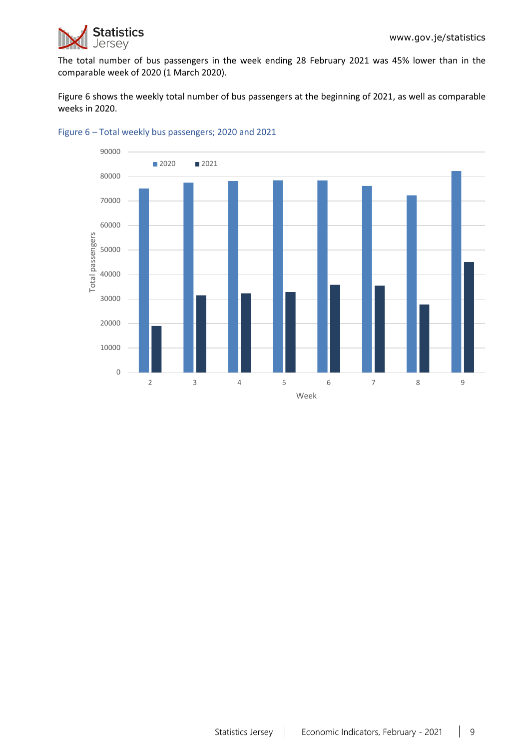

The total number of bus passengers in the week ending 28 February 2021 was 45% lower than in the comparable week of 2020 (1 March 2020).

Figure 6 shows the weekly total number of bus passengers at the beginning of 2021, as well as comparable weeks in 2020.



#### Figure 6 – Total weekly bus passengers; 2020 and 2021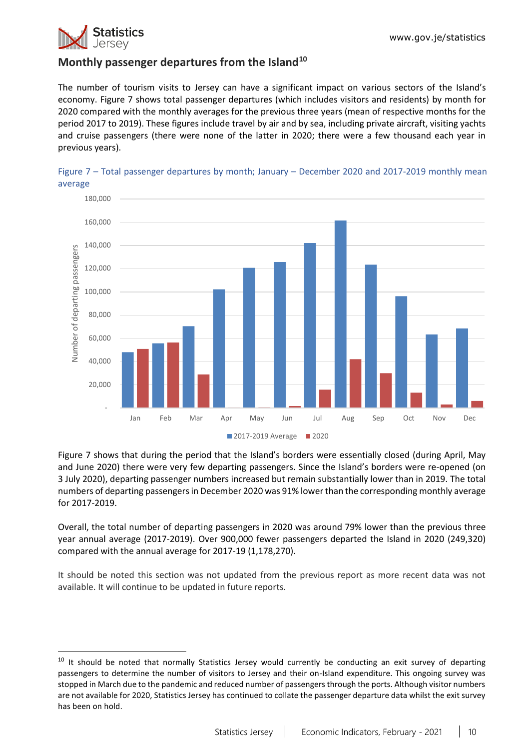

## **Monthly passenger departures from the Island<sup>10</sup>**

The number of tourism visits to Jersey can have a significant impact on various sectors of the Island's economy. Figure 7 shows total passenger departures (which includes visitors and residents) by month for 2020 compared with the monthly averages for the previous three years (mean of respective months for the period 2017 to 2019). These figures include travel by air and by sea, including private aircraft, visiting yachts and cruise passengers (there were none of the latter in 2020; there were a few thousand each year in previous years).





Figure 7 shows that during the period that the Island's borders were essentially closed (during April, May and June 2020) there were very few departing passengers. Since the Island's borders were re-opened (on 3 July 2020), departing passenger numbers increased but remain substantially lower than in 2019. The total numbers of departing passengers in December 2020 was 91% lowerthan the corresponding monthly average for 2017-2019.

Overall, the total number of departing passengers in 2020 was around 79% lower than the previous three year annual average (2017-2019). Over 900,000 fewer passengers departed the Island in 2020 (249,320) compared with the annual average for 2017-19 (1,178,270).

It should be noted this section was not updated from the previous report as more recent data was not available. It will continue to be updated in future reports.

 $10$  It should be noted that normally Statistics Jersey would currently be conducting an exit survey of departing passengers to determine the number of visitors to Jersey and their on-Island expenditure. This ongoing survey was stopped in March due to the pandemic and reduced number of passengers through the ports. Although visitor numbers are not available for 2020, Statistics Jersey has continued to collate the passenger departure data whilst the exit survey has been on hold.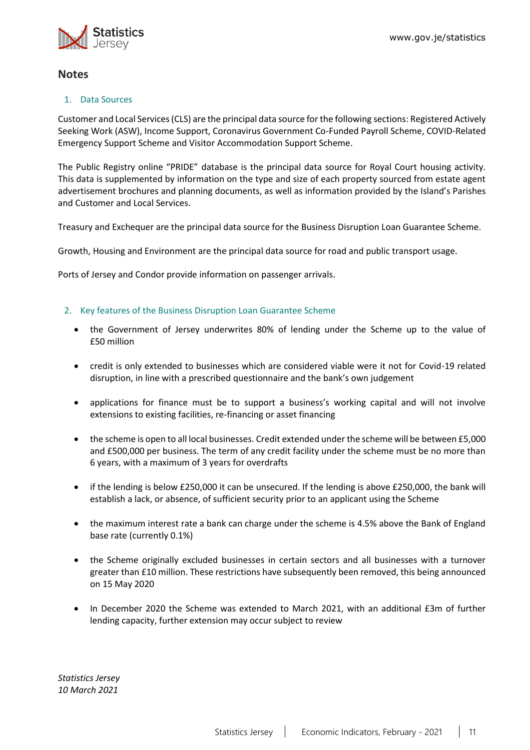

# **Notes**

### 1. Data Sources

Customer and Local Services (CLS) are the principal data source for the following sections: Registered Actively Seeking Work (ASW), Income Support, Coronavirus Government Co-Funded Payroll Scheme, COVID-Related Emergency Support Scheme and Visitor Accommodation Support Scheme.

The Public Registry online "PRIDE" database is the principal data source for Royal Court housing activity. This data is supplemented by information on the type and size of each property sourced from estate agent advertisement brochures and planning documents, as well as information provided by the Island's Parishes and Customer and Local Services.

Treasury and Exchequer are the principal data source for the Business Disruption Loan Guarantee Scheme.

Growth, Housing and Environment are the principal data source for road and public transport usage.

Ports of Jersey and Condor provide information on passenger arrivals.

### <span id="page-10-0"></span>2. Key features of the Business Disruption Loan Guarantee Scheme

- the Government of Jersey underwrites 80% of lending under the Scheme up to the value of £50 million
- credit is only extended to businesses which are considered viable were it not for Covid-19 related disruption, in line with a prescribed questionnaire and the bank's own judgement
- applications for finance must be to support a business's working capital and will not involve extensions to existing facilities, re-financing or asset financing
- the scheme is open to all local businesses. Credit extended under the scheme will be between £5,000 and £500,000 per business. The term of any credit facility under the scheme must be no more than 6 years, with a maximum of 3 years for overdrafts
- if the lending is below £250,000 it can be unsecured. If the lending is above £250,000, the bank will establish a lack, or absence, of sufficient security prior to an applicant using the Scheme
- the maximum interest rate a bank can charge under the scheme is 4.5% above the Bank of England base rate (currently 0.1%)
- the Scheme originally excluded businesses in certain sectors and all businesses with a turnover greater than £10 million. These restrictions have subsequently been removed, this being announced on 15 May 2020
- In December 2020 the Scheme was extended to March 2021, with an additional £3m of further lending capacity, further extension may occur subject to review

*Statistics Jersey 10 March 2021*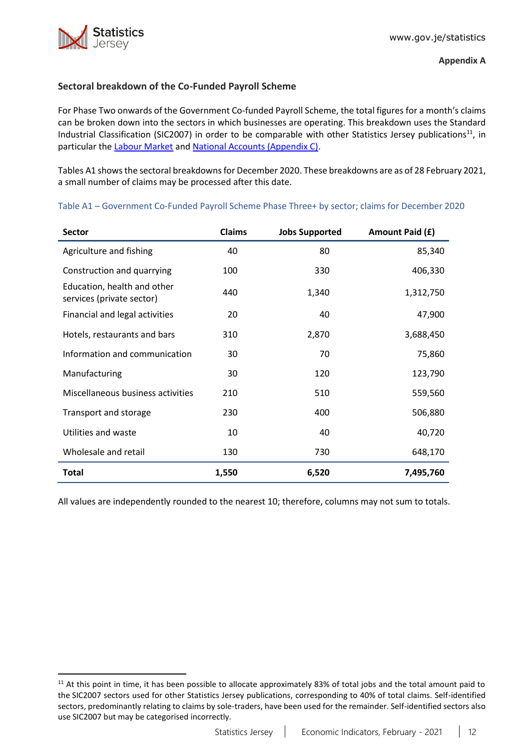## <span id="page-11-0"></span>**Sectoral breakdown of the Co-Funded Payroll Scheme**

For Phase Two onwards of the Government Co-funded Payroll Scheme, the total figures for a month's claims can be broken down into the sectors in which businesses are operating. This breakdown uses the Standard Industrial Classification (SIC2007) in order to be comparable with other Statistics Jersey publications<sup>11</sup>, in particular the [Labour Market](https://www.gov.je/Government/JerseyInFigures/EmploymentEarnings/Pages/LabourMarket.aspx) and [National Accounts \(Appendix C\).](https://www.gov.je/SiteCollectionDocuments/Government%20and%20administration/R%20GVA%20and%20GDP%202018%2020191002%20SJ.pdf)

Tables A1 showsthe sectoral breakdowns for December 2020. These breakdowns are as of 28 February 2021, a small number of claims may be processed after this date.

| <b>Sector</b>                                            | <b>Claims</b> | <b>Jobs Supported</b> | Amount Paid (£) |
|----------------------------------------------------------|---------------|-----------------------|-----------------|
| Agriculture and fishing                                  | 40            | 80                    | 85,340          |
| Construction and quarrying                               | 100           | 330                   | 406,330         |
| Education, health and other<br>services (private sector) | 440           | 1,340                 | 1,312,750       |
| Financial and legal activities                           | 20            | 40                    | 47,900          |
| Hotels, restaurants and bars                             | 310           | 2,870                 | 3,688,450       |
| Information and communication                            | 30            | 70                    | 75,860          |
| Manufacturing                                            | 30            | 120                   | 123,790         |
| Miscellaneous business activities                        | 210           | 510                   | 559,560         |
| Transport and storage                                    | 230           | 400                   | 506,880         |
| Utilities and waste                                      | 10            | 40                    | 40,720          |
| Wholesale and retail                                     | 130           | 730                   | 648,170         |
| <b>Total</b>                                             | 1,550         | 6,520                 | 7,495,760       |

Table A1 – Government Co-Funded Payroll Scheme Phase Three+ by sector; claims for December 2020

All values are independently rounded to the nearest 10; therefore, columns may not sum to totals.

 $11$  At this point in time, it has been possible to allocate approximately 83% of total jobs and the total amount paid to the SIC2007 sectors used for other Statistics Jersey publications, corresponding to 40% of total claims. Self-identified sectors, predominantly relating to claims by sole-traders, have been used for the remainder. Self-identified sectors also use SIC2007 but may be categorised incorrectly.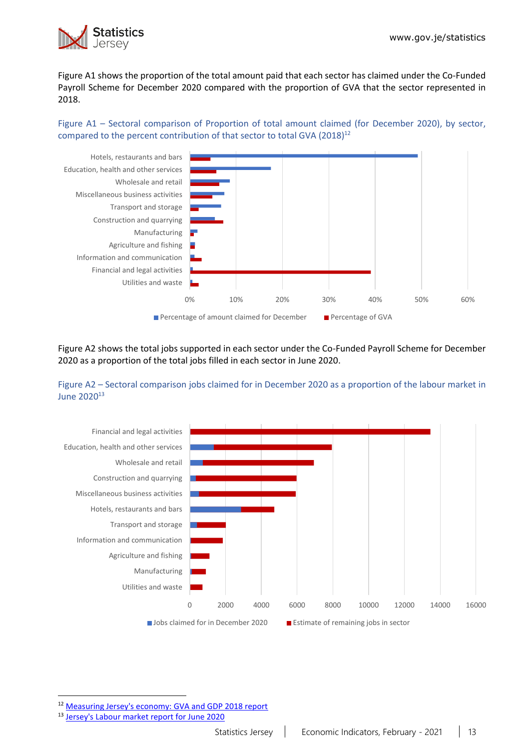

Figure A1 shows the proportion of the total amount paid that each sector has claimed under the Co-Funded Payroll Scheme for December 2020 compared with the proportion of GVA that the sector represented in 2018.

Figure A1 – Sectoral comparison of Proportion of total amount claimed (for December 2020), by sector, compared to the percent contribution of that sector to total GVA (2018)<sup>12</sup>



Figure A2 shows the total jobs supported in each sector under the Co-Funded Payroll Scheme for December 2020 as a proportion of the total jobs filled in each sector in June 2020.





<sup>12</sup> [Measuring Jersey's economy: GVA and GDP 2018 report](https://www.gov.je/SiteCollectionDocuments/Government%20and%20administration/R%20GVA%20and%20GDP%202018%2020191002%20SJ.pdf)

<sup>13</sup> [Jersey's Labour market report for June 2020](https://www.gov.je/SiteCollectionDocuments/Government%20and%20administration/R%20Jersey%20Labour%20Market%20Jun%2020%2020201105%20SJ.pdf)